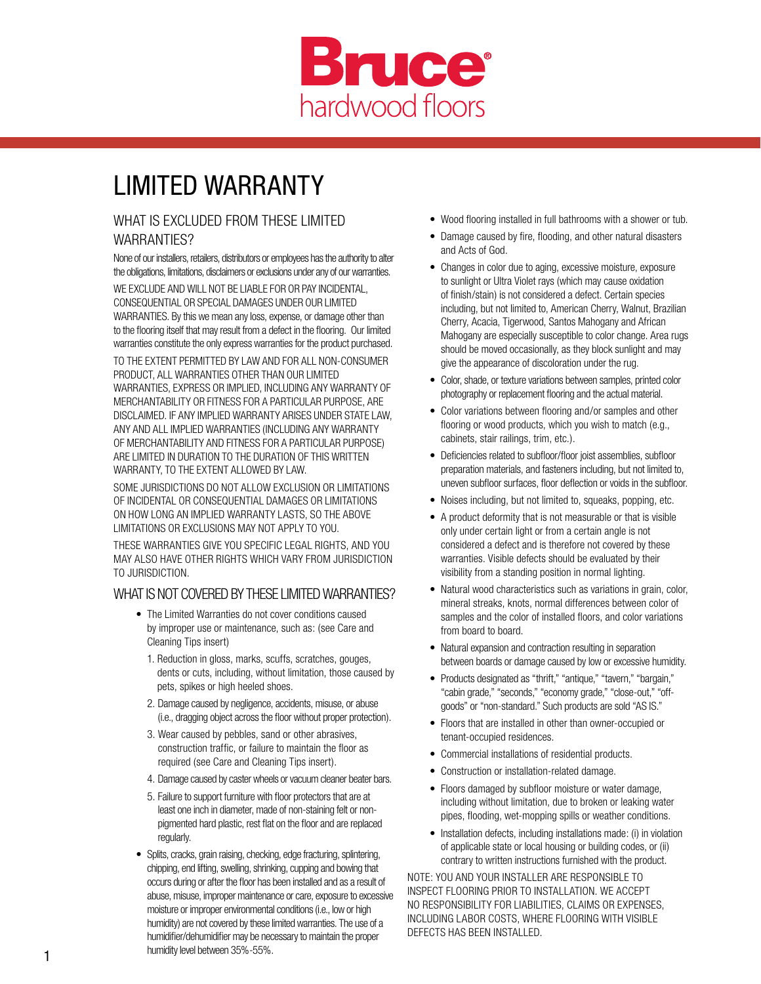

# LIMITED WARRANTY

#### WHAT IS EXCLUDED FROM THESE LIMITED WARRANTIES?

None of our installers, retailers, distributors or employees has the authority to alter the obligations, limitations, disclaimers or exclusions under any of our warranties. WE EXCLUDE AND WILL NOT BE LIABLE FOR OR PAY INCIDENTAL, CONSEQUENTIAL OR SPECIAL DAMAGES UNDER OUR LIMITED WARRANTIES. By this we mean any loss, expense, or damage other than to the flooring itself that may result from a defect in the flooring. Our limited warranties constitute the only express warranties for the product purchased.

TO THE EXTENT PERMITTED BY LAW AND FOR ALL NON-CONSUMER PRODUCT, ALL WARRANTIES OTHER THAN OUR LIMITED WARRANTIES, EXPRESS OR IMPLIED, INCLUDING ANY WARRANTY OF MERCHANTABILITY OR FITNESS FOR A PARTICULAR PURPOSE, ARE DISCLAIMED. IF ANY IMPLIED WARRANTY ARISES UNDER STATE LAW, ANY AND ALL IMPLIED WARRANTIES (INCLUDING ANY WARRANTY OF MERCHANTABILITY AND FITNESS FOR A PARTICULAR PURPOSE) ARE LIMITED IN DURATION TO THE DURATION OF THIS WRITTEN WARRANTY, TO THE EXTENT ALLOWED BY LAW.

SOME JURISDICTIONS DO NOT ALLOW EXCLUSION OR LIMITATIONS OF INCIDENTAL OR CONSEQUENTIAL DAMAGES OR LIMITATIONS ON HOW LONG AN IMPLIED WARRANTY LASTS, SO THE ABOVE LIMITATIONS OR EXCLUSIONS MAY NOT APPLY TO YOU.

THESE WARRANTIES GIVE YOU SPECIFIC LEGAL RIGHTS, AND YOU MAY ALSO HAVE OTHER RIGHTS WHICH VARY FROM JURISDICTION TO JURISDICTION.

#### WHAT IS NOT COVERED BY THESE LIMITED WARRANTIES?

- The Limited Warranties do not cover conditions caused by improper use or maintenance, such as: (see Care and Cleaning Tips insert)
	- 1. Reduction in gloss, marks, scuffs, scratches, gouges, dents or cuts, including, without limitation, those caused by pets, spikes or high heeled shoes.
	- 2. Damage caused by negligence, accidents, misuse, or abuse (i.e., dragging object across the floor without proper protection).
	- 3. Wear caused by pebbles, sand or other abrasives, construction traffic, or failure to maintain the floor as required (see Care and Cleaning Tips insert).
	- 4. Damage caused by caster wheels or vacuum cleaner beater bars.
	- 5. Failure to support furniture with floor protectors that are at least one inch in diameter, made of non-staining felt or nonpigmented hard plastic, rest flat on the floor and are replaced regularly.
- Splits, cracks, grain raising, checking, edge fracturing, splintering, chipping, end lifting, swelling, shrinking, cupping and bowing that occurs during or after the floor has been installed and as a result of abuse, misuse, improper maintenance or care, exposure to excessive moisture or improper environmental conditions (i.e., low or high humidity) are not covered by these limited warranties. The use of a humidifier/dehumidifier may be necessary to maintain the proper humidity level between 35%-55%.
- Wood flooring installed in full bathrooms with a shower or tub.
- Damage caused by fire, flooding, and other natural disasters and Acts of God.
- Changes in color due to aging, excessive moisture, exposure to sunlight or Ultra Violet rays (which may cause oxidation of finish/stain) is not considered a defect. Certain species including, but not limited to, American Cherry, Walnut, Brazilian Cherry, Acacia, Tigerwood, Santos Mahogany and African Mahogany are especially susceptible to color change. Area rugs should be moved occasionally, as they block sunlight and may give the appearance of discoloration under the rug.
- Color, shade, or texture variations between samples, printed color photography or replacement flooring and the actual material.
- Color variations between flooring and/or samples and other flooring or wood products, which you wish to match (e.g., cabinets, stair railings, trim, etc.).
- Deficiencies related to subfloor/floor joist assemblies, subfloor preparation materials, and fasteners including, but not limited to, uneven subfloor surfaces, floor deflection or voids in the subfloor.
- Noises including, but not limited to, squeaks, popping, etc.
- A product deformity that is not measurable or that is visible only under certain light or from a certain angle is not considered a defect and is therefore not covered by these warranties. Visible defects should be evaluated by their visibility from a standing position in normal lighting.
- Natural wood characteristics such as variations in grain, color, mineral streaks, knots, normal differences between color of samples and the color of installed floors, and color variations from board to board.
- Natural expansion and contraction resulting in separation between boards or damage caused by low or excessive humidity.
- Products designated as "thrift," "antique," "tavern," "bargain," "cabin grade," "seconds," "economy grade," "close-out," "offgoods" or "non-standard." Such products are sold "AS IS."
- Floors that are installed in other than owner-occupied or tenant-occupied residences.
- Commercial installations of residential products.
- Construction or installation-related damage.
- Floors damaged by subfloor moisture or water damage, including without limitation, due to broken or leaking water pipes, flooding, wet-mopping spills or weather conditions.
- Installation defects, including installations made: (i) in violation of applicable state or local housing or building codes, or (ii) contrary to written instructions furnished with the product.

NOTE: YOU AND YOUR INSTALLER ARE RESPONSIBLE TO INSPECT FLOORING PRIOR TO INSTALLATION. WE ACCEPT NO RESPONSIBILITY FOR LIABILITIES, CLAIMS OR EXPENSES, INCLUDING LABOR COSTS, WHERE FLOORING WITH VISIBLE DEFECTS HAS BEEN INSTALLED.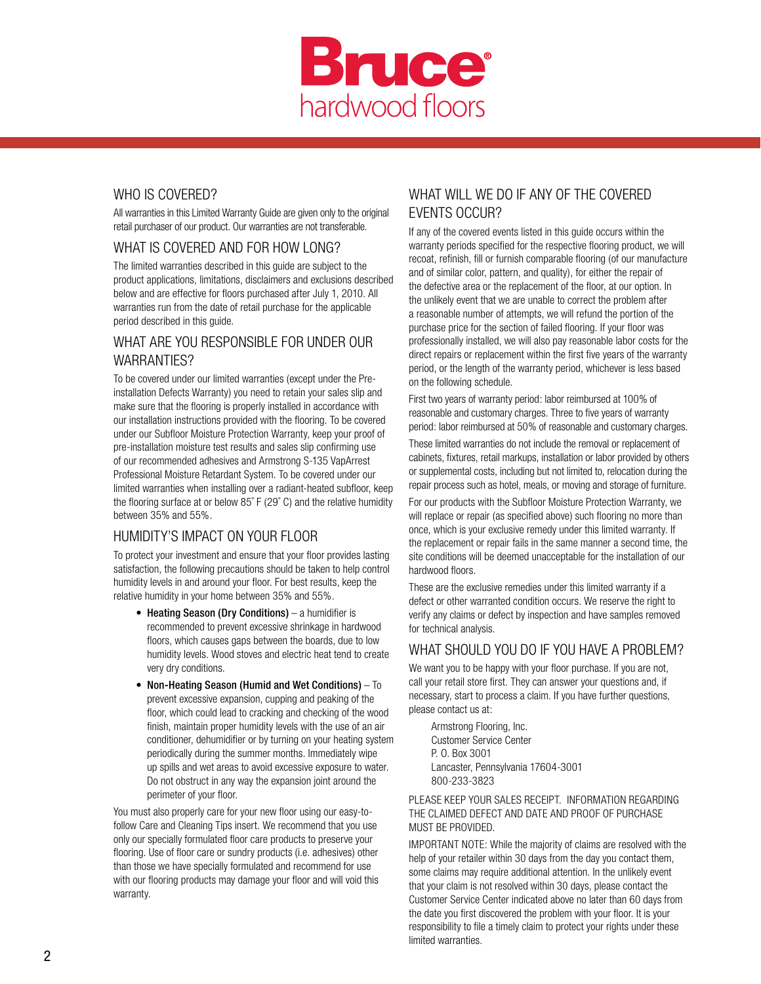

## WHO IS COVERED?

All warranties in this Limited Warranty Guide are given only to the original retail purchaser of our product. Our warranties are not transferable.

#### WHAT IS COVERED AND FOR HOW LONG?

The limited warranties described in this guide are subject to the product applications, limitations, disclaimers and exclusions described below and are effective for floors purchased after July 1, 2010. All warranties run from the date of retail purchase for the applicable period described in this guide.

### WHAT ARE YOU RESPONSIBLE FOR UNDER OUR WARRANTIES?

To be covered under our limited warranties (except under the Preinstallation Defects Warranty) you need to retain your sales slip and make sure that the flooring is properly installed in accordance with our installation instructions provided with the flooring. To be covered under our Subfloor Moisture Protection Warranty, keep your proof of pre-installation moisture test results and sales slip confirming use of our recommended adhesives and Armstrong S-135 VapArrest Professional Moisture Retardant System. To be covered under our limited warranties when installing over a radiant-heated subfloor, keep the flooring surface at or below 85˚ F (29˚ C) and the relative humidity between 35% and 55%.

### HUMIDITY'S IMPACT ON YOUR FLOOR

To protect your investment and ensure that your floor provides lasting satisfaction, the following precautions should be taken to help control humidity levels in and around your floor. For best results, keep the relative humidity in your home between 35% and 55%.

- Heating Season (Dry Conditions) a humidifier is recommended to prevent excessive shrinkage in hardwood floors, which causes gaps between the boards, due to low humidity levels. Wood stoves and electric heat tend to create very dry conditions.
- Non-Heating Season (Humid and Wet Conditions) To prevent excessive expansion, cupping and peaking of the floor, which could lead to cracking and checking of the wood finish, maintain proper humidity levels with the use of an air conditioner, dehumidifier or by turning on your heating system periodically during the summer months. Immediately wipe up spills and wet areas to avoid excessive exposure to water. Do not obstruct in any way the expansion joint around the perimeter of your floor.

You must also properly care for your new floor using our easy-tofollow Care and Cleaning Tips insert. We recommend that you use only our specially formulated floor care products to preserve your flooring. Use of floor care or sundry products (i.e. adhesives) other than those we have specially formulated and recommend for use with our flooring products may damage your floor and will void this warranty.

## WHAT WILL WE DO IF ANY OF THE COVERED EVENTS OCCUR?

If any of the covered events listed in this guide occurs within the warranty periods specified for the respective flooring product, we will recoat, refinish, fill or furnish comparable flooring (of our manufacture and of similar color, pattern, and quality), for either the repair of the defective area or the replacement of the floor, at our option. In the unlikely event that we are unable to correct the problem after a reasonable number of attempts, we will refund the portion of the purchase price for the section of failed flooring. If your floor was professionally installed, we will also pay reasonable labor costs for the direct repairs or replacement within the first five years of the warranty period, or the length of the warranty period, whichever is less based on the following schedule.

First two years of warranty period: labor reimbursed at 100% of reasonable and customary charges. Three to five years of warranty period: labor reimbursed at 50% of reasonable and customary charges.

These limited warranties do not include the removal or replacement of cabinets, fixtures, retail markups, installation or labor provided by others or supplemental costs, including but not limited to, relocation during the repair process such as hotel, meals, or moving and storage of furniture.

For our products with the Subfloor Moisture Protection Warranty, we will replace or repair (as specified above) such flooring no more than once, which is your exclusive remedy under this limited warranty. If the replacement or repair fails in the same manner a second time, the site conditions will be deemed unacceptable for the installation of our hardwood floors.

These are the exclusive remedies under this limited warranty if a defect or other warranted condition occurs. We reserve the right to verify any claims or defect by inspection and have samples removed for technical analysis.

#### WHAT SHOULD YOU DO IF YOU HAVE A PROBLEM?

We want you to be happy with your floor purchase. If you are not, call your retail store first. They can answer your questions and, if necessary, start to process a claim. If you have further questions, please contact us at:

 Armstrong Flooring, Inc. Customer Service Center P. O. Box 3001 Lancaster, Pennsylvania 17604-3001 800-233-3823

#### PLEASE KEEP YOUR SALES RECEIPT. INFORMATION REGARDING THE CLAIMED DEFECT AND DATE AND PROOF OF PURCHASE MUST BE PROVIDED.

IMPORTANT NOTE: While the majority of claims are resolved with the help of your retailer within 30 days from the day you contact them, some claims may require additional attention. In the unlikely event that your claim is not resolved within 30 days, please contact the Customer Service Center indicated above no later than 60 days from the date you first discovered the problem with your floor. It is your responsibility to file a timely claim to protect your rights under these limited warranties.